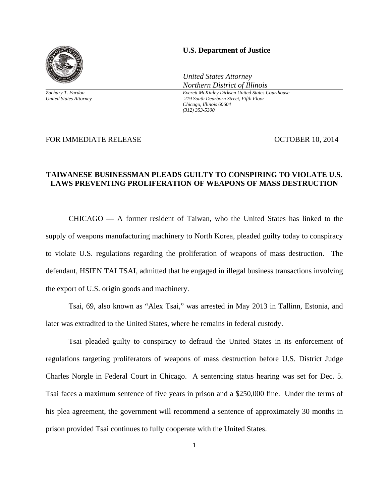

*Zachary T. Fardon United States Attorney* 

## **U.S. Department of Justice**

*United States Attorney Northern District of Illinois*

*Everett McKinley Dirksen United States Courthouse 219 South Dearborn Street, Fifth Floor Chicago, Illinois 60604 (312) 353-5300* 

FOR IMMEDIATE RELEASE CONTROL CONTROL CONTROL CONTROL OCTOBER 10, 2014

## **TAIWANESE BUSINESSMAN PLEADS GUILTY TO CONSPIRING TO VIOLATE U.S. LAWS PREVENTING PROLIFERATION OF WEAPONS OF MASS DESTRUCTION**

 CHICAGO — A former resident of Taiwan, who the United States has linked to the supply of weapons manufacturing machinery to North Korea, pleaded guilty today to conspiracy to violate U.S. regulations regarding the proliferation of weapons of mass destruction. The defendant, HSIEN TAI TSAI, admitted that he engaged in illegal business transactions involving the export of U.S. origin goods and machinery.

 Tsai, 69, also known as "Alex Tsai," was arrested in May 2013 in Tallinn, Estonia, and later was extradited to the United States, where he remains in federal custody.

 Tsai pleaded guilty to conspiracy to defraud the United States in its enforcement of regulations targeting proliferators of weapons of mass destruction before U.S. District Judge Charles Norgle in Federal Court in Chicago. A sentencing status hearing was set for Dec. 5. Tsai faces a maximum sentence of five years in prison and a \$250,000 fine. Under the terms of his plea agreement, the government will recommend a sentence of approximately 30 months in prison provided Tsai continues to fully cooperate with the United States.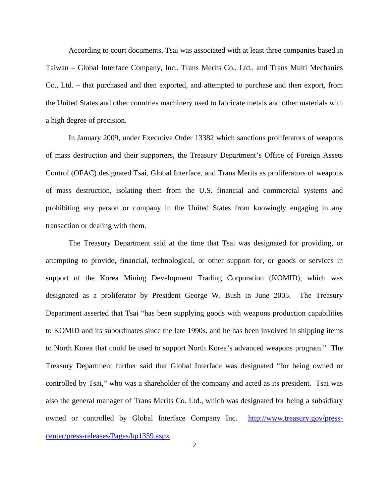According to court documents, Tsai was associated with at least three companies based in Taiwan – Global Interface Company, Inc., Trans Merits Co., Ltd., and Trans Multi Mechanics Co., Ltd. – that purchased and then exported, and attempted to purchase and then export, from the United States and other countries machinery used to fabricate metals and other materials with a high degree of precision.

 In January 2009, under Executive Order 13382 which sanctions proliferators of weapons of mass destruction and their supporters, the Treasury Department's Office of Foreign Assets Control (OFAC) designated Tsai, Global Interface, and Trans Merits as proliferators of weapons of mass destruction, isolating them from the U.S. financial and commercial systems and prohibiting any person or company in the United States from knowingly engaging in any transaction or dealing with them.

 The Treasury Department said at the time that Tsai was designated for providing, or attempting to provide, financial, technological, or other support for, or goods or services in support of the Korea Mining Development Trading Corporation (KOMID), which was designated as a proliferator by President George W. Bush in June 2005. The Treasury Department asserted that Tsai "has been supplying goods with weapons production capabilities to KOMID and its subordinates since the late 1990s, and he has been involved in shipping items to North Korea that could be used to support North Korea's advanced weapons program." The Treasury Department further said that Global Interface was designated "for being owned or controlled by Tsai," who was a shareholder of the company and acted as its president. Tsai was also the general manager of Trans Merits Co. Ltd., which was designated for being a subsidiary owned or controlled by Global Interface Company Inc. http://www.treasury.gov/presscenter/press-releases/Pages/hp1359.aspx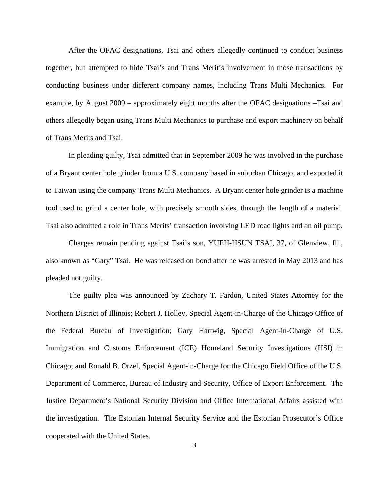After the OFAC designations, Tsai and others allegedly continued to conduct business together, but attempted to hide Tsai's and Trans Merit's involvement in those transactions by conducting business under different company names, including Trans Multi Mechanics. For example, by August 2009 – approximately eight months after the OFAC designations –Tsai and others allegedly began using Trans Multi Mechanics to purchase and export machinery on behalf of Trans Merits and Tsai.

In pleading guilty, Tsai admitted that in September 2009 he was involved in the purchase of a Bryant center hole grinder from a U.S. company based in suburban Chicago, and exported it to Taiwan using the company Trans Multi Mechanics. A Bryant center hole grinder is a machine tool used to grind a center hole, with precisely smooth sides, through the length of a material. Tsai also admitted a role in Trans Merits' transaction involving LED road lights and an oil pump.

Charges remain pending against Tsai's son, YUEH-HSUN TSAI, 37, of Glenview, Ill., also known as "Gary" Tsai. He was released on bond after he was arrested in May 2013 and has pleaded not guilty.

The guilty plea was announced by Zachary T. Fardon, United States Attorney for the Northern District of Illinois; Robert J. Holley, Special Agent-in-Charge of the Chicago Office of the Federal Bureau of Investigation; Gary Hartwig, Special Agent-in-Charge of U.S. Immigration and Customs Enforcement (ICE) Homeland Security Investigations (HSI) in Chicago; and Ronald B. Orzel, Special Agent-in-Charge for the Chicago Field Office of the U.S. Department of Commerce, Bureau of Industry and Security, Office of Export Enforcement. The Justice Department's National Security Division and Office International Affairs assisted with the investigation. The Estonian Internal Security Service and the Estonian Prosecutor's Office cooperated with the United States.